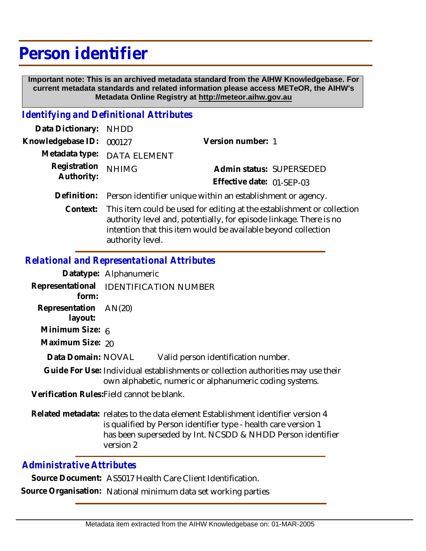# **Person identifier**

 **Important note: This is an archived metadata standard from the AIHW Knowledgebase. For current metadata standards and related information please access METeOR, the AIHW's Metadata Online Registry at http://meteor.aihw.gov.au**

## *Identifying and Definitional Attributes*

| Data Dictionary: NHDD    |                                                                         |                           |  |
|--------------------------|-------------------------------------------------------------------------|---------------------------|--|
| Knowledgebase ID: 000127 |                                                                         | Version number: 1         |  |
|                          | Metadata type: DATA ELEMENT                                             |                           |  |
| Registration             | <b>NHIMG</b>                                                            | Admin status: SUPERSEDED  |  |
| Authority:               |                                                                         | Effective date: 01-SEP-03 |  |
|                          | Definition: Person identifier unique within an establishment or agency. |                           |  |

Context: This item could be used for editing at the establishment or collection authority level and, potentially, for episode linkage. There is no intention that this item would be available beyond collection authority level.

#### *Relational and Representational Attributes*

|                                                 | Datatype: Alphanumeric |                                                                                                                                             |
|-------------------------------------------------|------------------------|---------------------------------------------------------------------------------------------------------------------------------------------|
| Representational IDENTIFICATION NUMBER<br>form: |                        |                                                                                                                                             |
| Representation AN(20)<br>layout:                |                        |                                                                                                                                             |
| Minimum Size: 6                                 |                        |                                                                                                                                             |
| Maximum Size: 20                                |                        |                                                                                                                                             |
| Data Domain: NOVAL                              |                        | Valid person identification number.                                                                                                         |
|                                                 |                        | Guide For Use: Individual establishments or collection authorities may use their<br>own alphabetic, numeric or alphanumeric coding systems. |
| Verification Rules: Field cannot be blank.      |                        |                                                                                                                                             |

Related metadata: relates to the data element Establishment identifier version 4 is qualified by Person identifier type - health care version 1 has been superseded by Int. NCSDD & NHDD Person identifier version 2

### *Administrative Attributes*

**Source Document:** AS5017 Health Care Client Identification.

**Source Organisation:** National minimum data set working parties